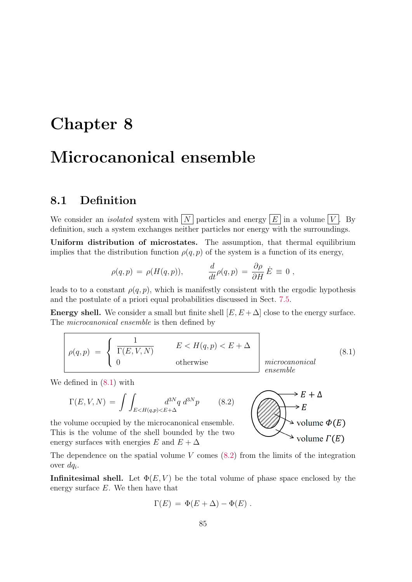# Chapter 8

## Microcanonical ensemble

## 8.1 Definition

We consider an *isolated* system with  $\boxed{N}$  particles and energy  $\boxed{E}$  in a volume  $\boxed{V}$ . By definition, such a system exchanges neither particles nor energy with the surroundings.

Uniform distribution of microstates. The assumption, that thermal equilibrium implies that the distribution function  $\rho(q, p)$  of the system is a function of its energy,

$$
\rho(q,p) = \rho(H(q,p)), \qquad \frac{d}{dt}\rho(q,p) = \frac{\partial \rho}{\partial H} \dot{E} \equiv 0,
$$

leads to to a constant  $\rho(q, p)$ , which is manifestly consistent with the ergodic hypothesis and the postulate of a priori equal probabilities discussed in Sect. 7.5.

**Energy shell.** We consider a small but finite shell  $[E, E + \Delta]$  close to the energy surface. The microcanonical ensemble is then defined by

$$
\rho(q,p) = \begin{cases} \frac{1}{\Gamma(E,V,N)} & E < H(q,p) < E + \Delta \\ 0 & \text{otherwise} \end{cases} \quad \text{(8.1)}
$$
\nmicrocanonical

\nmicrocanonical

We defined in (8.1) with

$$
\Gamma(E, V, N) = \int \int_{E < H(q, p) < E + \Delta} d^{3N} q \, d^{3N} p \tag{8.2}
$$

the volume occupied by the microcanonical ensemble. This is the volume of the shell bounded by the two energy surfaces with energies E and  $E + \Delta$ 



The dependence on the spatial volume  $V$  comes  $(8.2)$  from the limits of the integration over  $dq_i$ .

**Infinitesimal shell.** Let  $\Phi(E, V)$  be the total volume of phase space enclosed by the energy surface E. We then have that

$$
\Gamma(E) = \Phi(E + \Delta) - \Phi(E) .
$$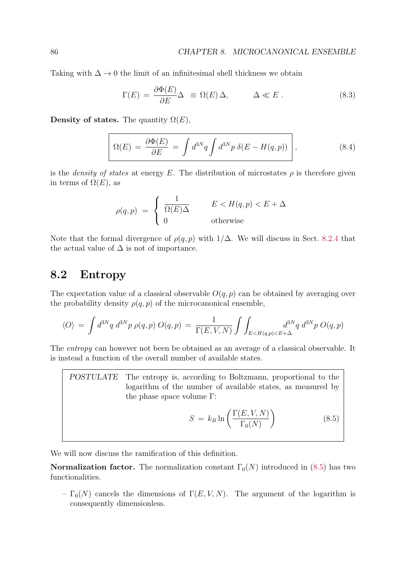Taking with  $\Delta \rightarrow 0$  the limit of an infinitesimal shell thickness we obtain

$$
\Gamma(E) = \frac{\partial \Phi(E)}{\partial E} \Delta \equiv \Omega(E) \Delta, \qquad \Delta \ll E. \qquad (8.3)
$$

Density of states. The quantity  $\Omega(E)$ ,

$$
\Omega(E) = \frac{\partial \Phi(E)}{\partial E} = \int d^{3N}q \int d^{3N}p \,\delta(E - H(q, p)) \,, \tag{8.4}
$$

is the *density of states* at energy E. The distribution of microstates  $\rho$  is therefore given in terms of  $\Omega(E)$ , as

$$
\rho(q, p) = \begin{cases} \frac{1}{\Omega(E)\Delta} & E < H(q, p) < E + \Delta \\ 0 & \text{otherwise} \end{cases}
$$

Note that the formal divergence of  $\rho(q, p)$  with  $1/\Delta$ . We will discuss in Sect. 8.2.4 that the actual value of  $\Delta$  is not of importance.

## 8.2 Entropy

The expectation value of a classical observable  $O(q, p)$  can be obtained by averaging over the probability density  $\rho(q, p)$  of the microcanonical ensemble,

$$
\langle O \rangle = \int d^{3N}q \ d^{3N}p \ \rho(q,p) \ O(q,p) = \frac{1}{\Gamma(E,V,N)} \int \int_{E \le H(q,p) \le E+\Delta} d^{3N}q \ d^{3N}p \ O(q,p)
$$

The *entropy* can however not been be obtained as an average of a classical observable. It is instead a function of the overall number of available states.

POSTULATE The entropy is, according to Boltzmann, proportional to the logarithm of the number of available states, as measured by the phase space volume  $Γ$ :

$$
S = k_B \ln \left( \frac{\Gamma(E, V, N)}{\Gamma_0(N)} \right) \tag{8.5}
$$

We will now discuss the ramification of this definition.

**Normalization factor.** The normalization constant  $\Gamma_0(N)$  introduced in (8.5) has two functionalities.

–  $\Gamma_0(N)$  cancels the dimensions of  $\Gamma(E, V, N)$ . The argument of the logarithm is consequently dimensionless.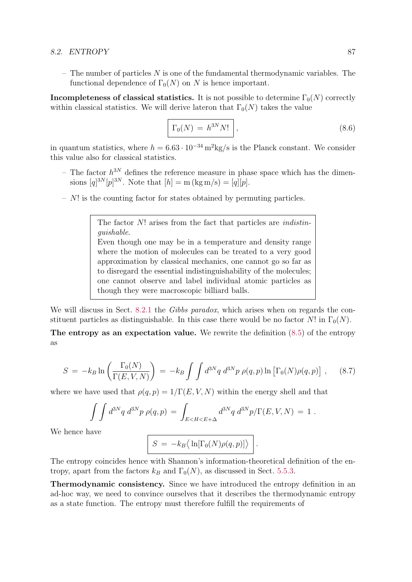#### 8.2. ENTROPY 87

– The number of particles  $N$  is one of the fundamental thermodynamic variables. The functional dependence of  $\Gamma_0(N)$  on N is hence important.

Incompleteness of classical statistics. It is not possible to determine  $\Gamma_0(N)$  correctly within classical statistics. We will derive lateron that  $\Gamma_0(N)$  takes the value

$$
\Gamma_0(N) = h^{3N} N! \qquad (8.6)
$$

in quantum statistics, where  $h = 6.63 \cdot 10^{-34} \,\mathrm{m}^2 \mathrm{kg/s}$  is the Planck constant. We consider this value also for classical statistics.

- The factor  $h^{3N}$  defines the reference measure in phase space which has the dimensions  $[q]^{3N} [p]^{3N}$ . Note that  $[h] = m (kg m/s) = [q][p]$ .
- $N!$  is the counting factor for states obtained by permuting particles.

The factor N! arises from the fact that particles are *indistin*guishable. Even though one may be in a temperature and density range where the motion of molecules can be treated to a very good approximation by classical mechanics, one cannot go so far as to disregard the essential indistinguishability of the molecules; one cannot observe and label individual atomic particles as though they were macroscopic billiard balls.

We will discuss in Sect. 8.2.1 the Gibbs paradox, which arises when on regards the constituent particles as distinguishable. In this case there would be no factor N! in  $\Gamma_0(N)$ .

The entropy as an expectation value. We rewrite the definition (8.5) of the entropy as

$$
S = -k_B \ln \left( \frac{\Gamma_0(N)}{\Gamma(E, V, N)} \right) = -k_B \int \int d^{3N}q \ d^{3N}p \ \rho(q, p) \ln \left[ \Gamma_0(N) \rho(q, p) \right] \,, \tag{8.7}
$$

where we have used that  $\rho(q, p) = 1/\Gamma(E, V, N)$  within the energy shell and that

$$
\int \int d^{3N}q \ d^{3N}p \ \rho(q,p) = \int_{E \le H \le E+\Delta} d^{3N}q \ d^{3N}p/\Gamma(E, V, N) = 1.
$$

We hence have

$$
S = -k_B \langle \ln[\Gamma_0(N)\rho(q,p)] \rangle .
$$

The entropy coincides hence with Shannon's information-theoretical definition of the entropy, apart from the factors  $k_B$  and  $\Gamma_0(N)$ , as discussed in Sect. 5.5.3.

Thermodynamic consistency. Since we have introduced the entropy definition in an ad-hoc way, we need to convince ourselves that it describes the thermodynamic entropy as a state function. The entropy must therefore fulfill the requirements of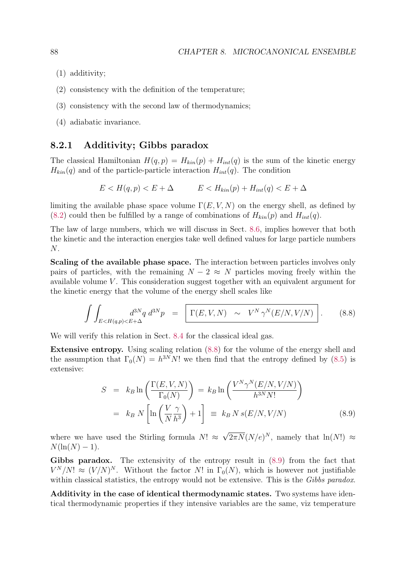- (1) additivity;
- (2) consistency with the definition of the temperature;
- (3) consistency with the second law of thermodynamics;
- (4) adiabatic invariance.

#### 8.2.1 Additivity; Gibbs paradox

The classical Hamiltonian  $H(q, p) = H_{kin}(p) + H_{int}(q)$  is the sum of the kinetic energy  $H_{kin}(q)$  and of the particle-particle interaction  $H_{int}(q)$ . The condition

$$
E < H(q, p) < E + \Delta \qquad E < H_{kin}(p) + H_{int}(q) < E + \Delta
$$

limiting the available phase space volume  $\Gamma(E, V, N)$  on the energy shell, as defined by  $(8.2)$  could then be fulfilled by a range of combinations of  $H_{kin}(p)$  and  $H_{int}(q)$ .

The law of large numbers, which we will discuss in Sect. 8.6, implies however that both the kinetic and the interaction energies take well defined values for large particle numbers N.

Scaling of the available phase space. The interaction between particles involves only pairs of particles, with the remaining  $N-2 \approx N$  particles moving freely within the available volume  $V$ . This consideration suggest together with an equivalent argument for the kinetic energy that the volume of the energy shell scales like

$$
\int\int_{E \lt H(q,p)\lt E+\Delta} d^{3N}q \ d^{3N}p = \left[ \Gamma(E,V,N) \sim V^N \gamma^N(E/N,V/N) \right]. \tag{8.8}
$$

We will verify this relation in Sect. 8.4 for the classical ideal gas.

Extensive entropy. Using scaling relation (8.8) for the volume of the energy shell and the assumption that  $\Gamma_0(N) = h^{3N} N!$  we then find that the entropy defined by (8.5) is extensive:

$$
S = k_B \ln \left( \frac{\Gamma(E, V, N)}{\Gamma_0(N)} \right) = k_B \ln \left( \frac{V^N \gamma^N(E/N, V/N)}{h^{3N} N!} \right)
$$
  
=  $k_B N \left[ \ln \left( \frac{V \gamma}{N h^3} \right) + 1 \right] \equiv k_B N s(E/N, V/N)$  (8.9)

where we have used the Stirling formula  $N! \approx \sqrt{2\pi N} (N/e)^N$ , namely that  $\ln(N!) \approx$  $N(\ln(N) - 1)$ .

Gibbs paradox. The extensivity of the entropy result in  $(8.9)$  from the fact that  $V^N/N! \approx (V/N)^N$ . Without the factor N! in  $\Gamma_0(N)$ , which is however not justifiable within classical statistics, the entropy would not be extensive. This is the Gibbs paradox.

Additivity in the case of identical thermodynamic states. Two systems have identical thermodynamic properties if they intensive variables are the same, viz temperature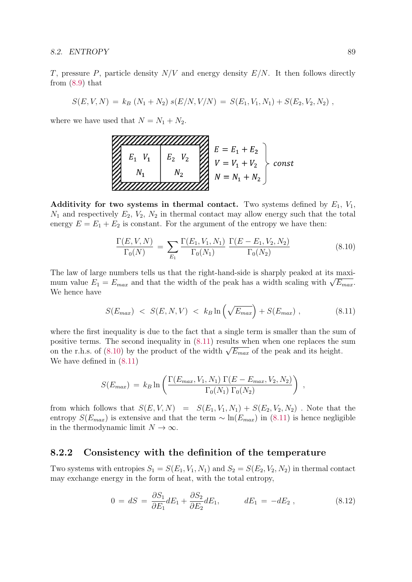#### 8.2. ENTROPY 89

T, pressure P, particle density  $N/V$  and energy density  $E/N$ . It then follows directly from (8.9) that

$$
S(E, V, N) = k_B (N_1 + N_2) s(E/N, V/N) = S(E_1, V_1, N_1) + S(E_2, V_2, N_2) ,
$$

where we have used that  $N = N_1 + N_2$ .

$$
\sum_{k_1}^{N_1} \sum_{v_1}^{E_1} \sum_{v_2}^{V_2} \sum_{v_1 + V_2}^{V_1 + V_2} \left\{ \sum_{v_1 + V_2}^{E_1 + V_1} \right\}^{E_2} \text{const}
$$

Additivity for two systems in thermal contact. Two systems defined by  $E_1$ ,  $V_1$ ,  $N_1$  and respectively  $E_2$ ,  $V_2$ ,  $N_2$  in thermal contact may allow energy such that the total energy  $E = E_1 + E_2$  is constant. For the argument of the entropy we have then:

$$
\frac{\Gamma(E, V, N)}{\Gamma_0(N)} = \sum_{E_1} \frac{\Gamma(E_1, V_1, N_1)}{\Gamma_0(N_1)} \frac{\Gamma(E - E_1, V_2, N_2)}{\Gamma_0(N_2)} \tag{8.10}
$$

The law of large numbers tells us that the right-hand-side is sharply peaked at its maximum value  $E_1 = E_{max}$  and that the width of the peak has a width scaling with  $\sqrt{E_{max}}$ . We hence have

$$
S(E_{max}) < S(E, N, V) < k_B \ln\left(\sqrt{E_{max}}\right) + S(E_{max}), \tag{8.11}
$$

where the first inequality is due to the fact that a single term is smaller than the sum of positive terms. The second inequality in (8.11) results when when one replaces the sum on the r.h.s. of (8.10) by the product of the width  $\sqrt{E_{max}}$  of the peak and its height. We have defined in (8.11)

$$
S(E_{max}) = k_B \ln \left( \frac{\Gamma(E_{max}, V_1, N_1) \Gamma(E - E_{max}, V_2, N_2)}{\Gamma_0(N_1) \Gamma_0(N_2)} \right) ,
$$

from which follows that  $S(E, V, N) = S(E_1, V_1, N_1) + S(E_2, V_2, N_2)$ . Note that the entropy  $S(E_{max})$  is extensive and that the term  $\sim \ln(E_{max})$  in (8.11) is hence negligible in the thermodynamic limit  $N \to \infty$ .

#### 8.2.2 Consistency with the definition of the temperature

Two systems with entropies  $S_1 = S(E_1, V_1, N_1)$  and  $S_2 = S(E_2, V_2, N_2)$  in thermal contact may exchange energy in the form of heat, with the total entropy,

$$
0 = dS = \frac{\partial S_1}{\partial E_1} dE_1 + \frac{\partial S_2}{\partial E_2} dE_1, \qquad dE_1 = -dE_2 , \qquad (8.12)
$$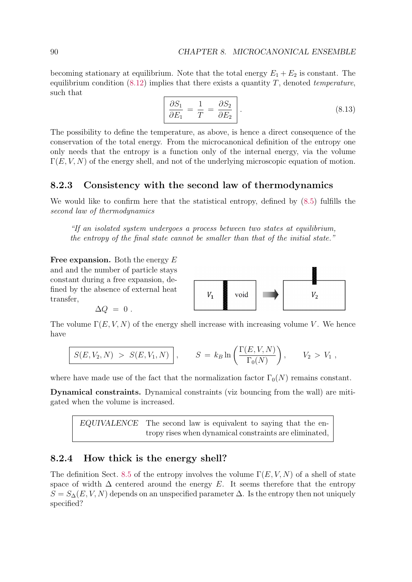becoming stationary at equilibrium. Note that the total energy  $E_1 + E_2$  is constant. The equilibrium condition  $(8.12)$  implies that there exists a quantity T, denoted *temperature*, such that

$$
\frac{\partial S_1}{\partial E_1} = \frac{1}{T} = \frac{\partial S_2}{\partial E_2} \Bigg. \tag{8.13}
$$

The possibility to define the temperature, as above, is hence a direct consequence of the conservation of the total energy. From the microcanonical definition of the entropy one only needs that the entropy is a function only of the internal energy, via the volume  $\Gamma(E, V, N)$  of the energy shell, and not of the underlying microscopic equation of motion.

#### 8.2.3 Consistency with the second law of thermodynamics

We would like to confirm here that the statistical entropy, defined by  $(8.5)$  fulfills the second law of thermodynamics

"If an isolated system undergoes a process between two states at equilibrium, the entropy of the final state cannot be smaller than that of the initial state."

Free expansion. Both the energy  $E$ and and the number of particle stays constant during a free expansion, defined by the absence of external heat transfer,

$$
\Delta Q = 0.
$$



The volume  $\Gamma(E, V, N)$  of the energy shell increase with increasing volume V. We hence have

$$
S(E, V_2, N) > S(E, V_1, N) , \t S = k_B \ln \left( \frac{\Gamma(E, V, N)}{\Gamma_0(N)} \right), \t V_2 > V_1 ,
$$

where have made use of the fact that the normalization factor  $\Gamma_0(N)$  remains constant.

Dynamical constraints. Dynamical constraints (viz bouncing from the wall) are mitigated when the volume is increased.

EQUIVALENCE The second law is equivalent to saying that the entropy rises when dynamical constraints are eliminated,

#### 8.2.4 How thick is the energy shell?

The definition Sect. 8.5 of the entropy involves the volume  $\Gamma(E, V, N)$  of a shell of state space of width  $\Delta$  centered around the energy E. It seems therefore that the entropy  $S = S_{\Delta}(E, V, N)$  depends on an unspecified parameter  $\Delta$ . Is the entropy then not uniquely specified?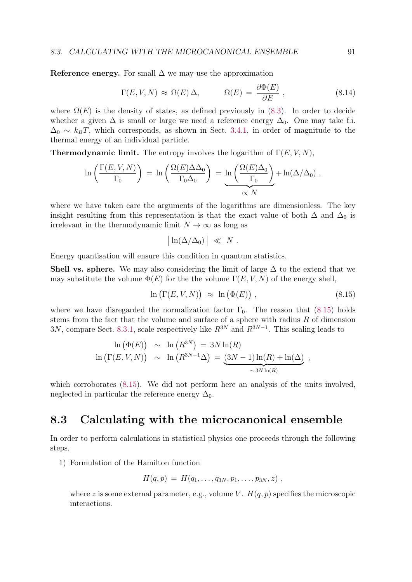Reference energy. For small  $\Delta$  we may use the approximation

$$
\Gamma(E, V, N) \approx \Omega(E) \Delta, \qquad \Omega(E) = \frac{\partial \Phi(E)}{\partial E}, \qquad (8.14)
$$

where  $\Omega(E)$  is the density of states, as defined previously in (8.3). In order to decide whether a given  $\Delta$  is small or large we need a reference energy  $\Delta_0$ . One may take f.i.  $\Delta_0 \sim k_B T$ , which corresponds, as shown in Sect. 3.4.1, in order of magnitude to the thermal energy of an individual particle.

**Thermodynamic limit.** The entropy involves the logarithm of  $\Gamma(E, V, N)$ ,

$$
\ln\left(\frac{\Gamma(E,V,N)}{\Gamma_0}\right) = \ln\left(\frac{\Omega(E)\Delta\Delta_0}{\Gamma_0\Delta_0}\right) = \underbrace{\ln\left(\frac{\Omega(E)\Delta_0}{\Gamma_0}\right)}_{\propto N} + \ln(\Delta/\Delta_0),
$$

where we have taken care the arguments of the logarithms are dimensionless. The key insight resulting from this representation is that the exact value of both  $\Delta$  and  $\Delta_0$  is irrelevant in the thermodynamic limit  $N \to \infty$  as long as

$$
\big|\ln(\Delta/\Delta_0)\,\big| \ \ll \ N \ .
$$

Energy quantisation will ensure this condition in quantum statistics.

**Shell vs. sphere.** We may also considering the limit of large  $\Delta$  to the extend that we may substitute the volume  $\Phi(E)$  for the the volume  $\Gamma(E, V, N)$  of the energy shell,

$$
\ln\left(\Gamma(E, V, N)\right) \approx \ln\left(\Phi(E)\right), \tag{8.15}
$$

where we have disregarded the normalization factor  $\Gamma_0$ . The reason that (8.15) holds stems from the fact that the volume and surface of a sphere with radius  $R$  of dimension 3N, compare Sect. 8.3.1, scale respectively like  $R^{3N}$  and  $R^{3N-1}$ . This scaling leads to

$$
\ln (\Phi(E)) \sim \ln (R^{3N}) = 3N \ln(R)
$$
  

$$
\ln (\Gamma(E, V, N)) \sim \ln (R^{3N-1} \Delta) = \underbrace{(3N-1) \ln(R) + \ln(\Delta)}_{\sim 3N \ln(R)},
$$

which corroborates (8.15). We did not perform here an analysis of the units involved, neglected in particular the reference energy  $\Delta_0$ .

## 8.3 Calculating with the microcanonical ensemble

In order to perform calculations in statistical physics one proceeds through the following steps.

1) Formulation of the Hamilton function

$$
H(q,p) = H(q_1,\ldots,q_{3N},p_1,\ldots,p_{3N},z) ,
$$

where z is some external parameter, e.g., volume V.  $H(q, p)$  specifies the microscopic interactions.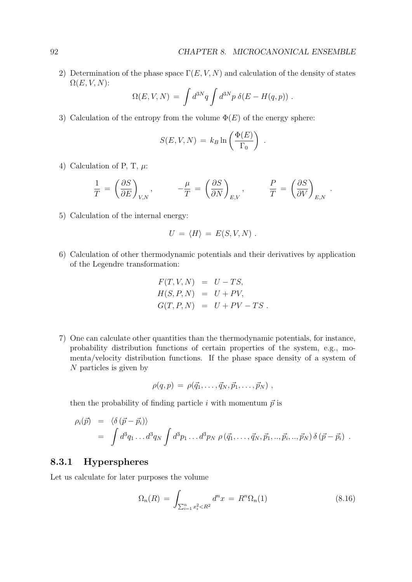2) Determination of the phase space  $\Gamma(E, V, N)$  and calculation of the density of states  $\Omega(E, V, N)$ :

$$
\Omega(E, V, N) = \int d^{3N}q \int d^{3N}p \ \delta(E - H(q, p)) \ .
$$

3) Calculation of the entropy from the volume  $\Phi(E)$  of the energy sphere:

$$
S(E, V, N) = k_B \ln \left( \frac{\Phi(E)}{\Gamma_0} \right) .
$$

4) Calculation of P, T,  $\mu$ :

$$
\frac{1}{T} \,=\, \left(\frac{\partial S}{\partial E}\right)_{V,N}, \qquad \quad -\frac{\mu}{T} \,=\, \left(\frac{\partial S}{\partial N}\right)_{E,V}, \qquad \quad \frac{P}{T} \,=\, \left(\frac{\partial S}{\partial V}\right)_{E,N} \,\,.
$$

5) Calculation of the internal energy:

$$
U = \langle H \rangle = E(S, V, N) .
$$

6) Calculation of other thermodynamic potentials and their derivatives by application of the Legendre transformation:

$$
F(T, V, N) = U - TS,
$$
  
\n
$$
H(S, P, N) = U + PV,
$$
  
\n
$$
G(T, P, N) = U + PV - TS.
$$

7) One can calculate other quantities than the thermodynamic potentials, for instance, probability distribution functions of certain properties of the system, e.g., momenta/velocity distribution functions. If the phase space density of a system of N particles is given by

$$
\rho(q,p) = \rho(\vec{q}_1,\ldots,\vec{q}_N,\vec{p}_1,\ldots,\vec{p}_N) ,
$$

then the probability of finding particle i with momentum  $\vec{p}$  is

$$
\rho_i(\vec{p}) = \langle \delta(\vec{p} - \vec{p}_i) \rangle \n= \int d^3q_1 \dots d^3q_N \int d^3p_1 \dots d^3p_N \rho(\vec{q}_1, \dots, \vec{q}_N, \vec{p}_1, \dots, \vec{p}_i, \dots, \vec{p}_N) \delta(\vec{p} - \vec{p}_i) .
$$

#### 8.3.1 Hyperspheres

Let us calculate for later purposes the volume

$$
\Omega_n(R) = \int_{\sum_{i=1}^n x_i^2 < R^2} d^n x = R^n \Omega_n(1) \tag{8.16}
$$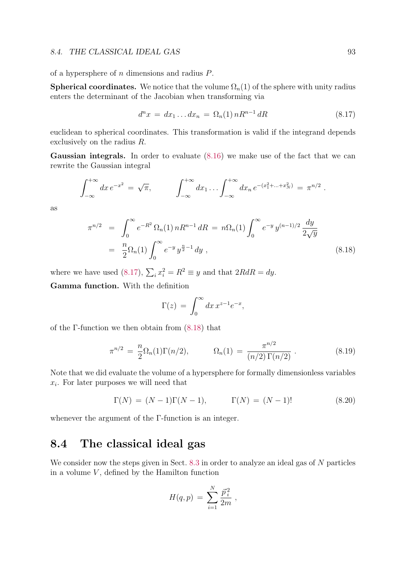#### 8.4. THE CLASSICAL IDEAL GAS 93

of a hypersphere of n dimensions and radius P.

**Spherical coordinates.** We notice that the volume  $\Omega_n(1)$  of the sphere with unity radius enters the determinant of the Jacobian when transforming via

$$
d^{n}x = dx_{1}...dx_{n} = \Omega_{n}(1) nR^{n-1} dR
$$
\n(8.17)

euclidean to spherical coordinates. This transformation is valid if the integrand depends exclusively on the radius R.

Gaussian integrals. In order to evaluate  $(8.16)$  we make use of the fact that we can rewrite the Gaussian integral

$$
\int_{-\infty}^{+\infty} dx \, e^{-x^2} = \sqrt{\pi}, \qquad \int_{-\infty}^{+\infty} dx_1 \dots \int_{-\infty}^{+\infty} dx_n \, e^{-(x_1^2 + \dots + x_N^2)} = \pi^{n/2}.
$$

as

$$
\pi^{n/2} = \int_0^\infty e^{-R^2} \Omega_n(1) nR^{n-1} dR = n\Omega_n(1) \int_0^\infty e^{-y} y^{(n-1)/2} \frac{dy}{2\sqrt{y}}
$$
  
=  $\frac{n}{2} \Omega_n(1) \int_0^\infty e^{-y} y^{\frac{n}{2}-1} dy$ , (8.18)

where we have used (8.17),  $\sum_i x_i^2 = R^2 \equiv y$  and that  $2RdR = dy$ .

Gamma function. With the definition

$$
\Gamma(z) = \int_0^\infty dx \, x^{z-1} e^{-x},
$$

of the Γ-function we then obtain from (8.18) that

$$
\pi^{n/2} = \frac{n}{2} \Omega_n(1) \Gamma(n/2), \qquad \Omega_n(1) = \frac{\pi^{n/2}}{(n/2) \Gamma(n/2)}.
$$
\n(8.19)

Note that we did evaluate the volume of a hypersphere for formally dimensionless variables  $x_i$ . For later purposes we will need that

$$
\Gamma(N) = (N-1)\Gamma(N-1), \qquad \Gamma(N) = (N-1)! \tag{8.20}
$$

whenever the argument of the Γ-function is an integer.

## 8.4 The classical ideal gas

We consider now the steps given in Sect. 8.3 in order to analyze an ideal gas of N particles in a volume  $V$ , defined by the Hamilton function

$$
H(q,p) = \sum_{i=1}^{N} \frac{\vec{p}_i^2}{2m},
$$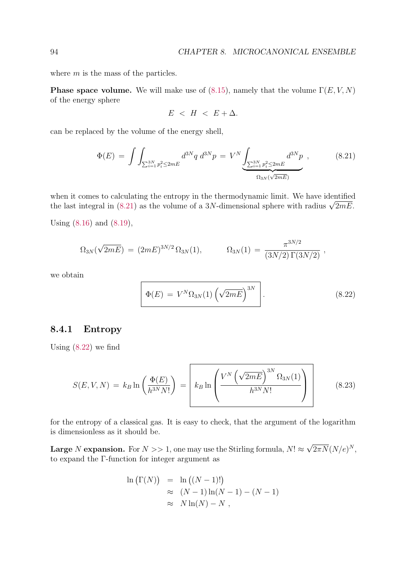where  $m$  is the mass of the particles.

**Phase space volume.** We will make use of (8.15), namely that the volume  $\Gamma(E, V, N)$ of the energy sphere

$$
E \ < \ H \ < \ E + \Delta.
$$

can be replaced by the volume of the energy shell,

$$
\Phi(E) = \int \int_{\sum_{i=1}^{3N} p_i^2 \le 2mE} d^{3N}q \ d^{3N}p = V^N \underbrace{\int_{\sum_{i=1}^{3N} p_i^2 \le 2mE} d^{3N}p}_{\Omega_{3N}(\sqrt{2mE})}, \qquad (8.21)
$$

when it comes to calculating the entropy in the thermodynamic limit. We have identified the last integral in (8.21) as the volume of a 3N-dimensional sphere with radius  $\sqrt{2mE}$ .

Using (8.16) and (8.19),

$$
\Omega_{3N}(\sqrt{2mE}) = (2mE)^{3N/2} \Omega_{3N}(1), \qquad \Omega_{3N}(1) = \frac{\pi^{3N/2}}{(3N/2) \Gamma(3N/2)},
$$

we obtain

$$
\Phi(E) = V^N \Omega_{3N}(1) \left(\sqrt{2mE}\right)^{3N} . \tag{8.22}
$$

#### 8.4.1 Entropy

Using (8.22) we find

$$
S(E, V, N) = k_B \ln \left( \frac{\Phi(E)}{h^{3N} N!} \right) = k_B \ln \left( \frac{V^N \left( \sqrt{2mE} \right)^{3N} \Omega_{3N}(1)}{h^{3N} N!} \right)
$$
(8.23)

for the entropy of a classical gas. It is easy to check, that the argument of the logarithm is dimensionless as it should be.

**Large** N **expansion.** For  $N >> 1$ , one may use the Stirling formula,  $N! \approx \sqrt{2\pi N} (N/e)^N$ , to expand the Γ-function for integer argument as

$$
\ln(\Gamma(N)) = \ln((N-1)!)
$$
  
\n
$$
\approx (N-1)\ln(N-1) - (N-1)
$$
  
\n
$$
\approx N\ln(N) - N,
$$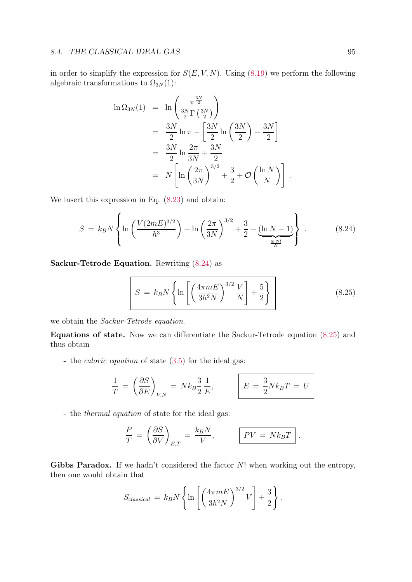#### 8.4. THE CLASSICAL IDEAL GAS 95

in order to simplify the expression for  $S(E, V, N)$ . Using (8.19) we perform the following algebraic transformations to  $\Omega_{3N}(1)$ :

$$
\ln \Omega_{3N}(1) = \ln \left( \frac{\pi^{\frac{3N}{2}}}{\frac{3N}{2} \Gamma\left(\frac{3N}{2}\right)} \right)
$$
  
= 
$$
\frac{3N}{2} \ln \pi - \left[ \frac{3N}{2} \ln \left(\frac{3N}{2}\right) - \frac{3N}{2} \right]
$$
  
= 
$$
\frac{3N}{2} \ln \frac{2\pi}{3N} + \frac{3N}{2}
$$
  
= 
$$
N \left[ \ln \left(\frac{2\pi}{3N}\right)^{3/2} + \frac{3}{2} + \mathcal{O}\left(\frac{\ln N}{N}\right) \right]
$$

We insert this expression in Eq.  $(8.23)$  and obtain:

$$
S = k_B N \left\{ \ln \left( \frac{V(2mE)^{3/2}}{h^3} \right) + \ln \left( \frac{2\pi}{3N} \right)^{3/2} + \frac{3}{2} - \underbrace{(\ln N - 1)}_{\frac{\ln N!}{N}} \right\} \ . \tag{8.24}
$$

Sackur-Tetrode Equation. Rewriting (8.24) as

$$
S = k_B N \left\{ \ln \left[ \left( \frac{4 \pi m E}{3 h^2 N} \right)^{3/2} \frac{V}{N} \right] + \frac{5}{2} \right\} \tag{8.25}
$$

.

we obtain the Sackur-Tetrode equation.

Equations of state. Now we can differentiate the Sackur-Tetrode equation (8.25) and thus obtain

- the caloric equation of state (3.5) for the ideal gas:

$$
\frac{1}{T} = \left(\frac{\partial S}{\partial E}\right)_{V,N} = Nk_B \frac{3}{2} \frac{1}{E}, \qquad E = \frac{3}{2} Nk_B T = U
$$

- the thermal equation of state for the ideal gas:

$$
\frac{P}{T} = \left(\frac{\partial S}{\partial V}\right)_{E,T} = \frac{k_B N}{V}, \qquad \boxed{PV = Nk_B T}.
$$

Gibbs Paradox. If we hadn't considered the factor  $N!$  when working out the entropy, then one would obtain that

$$
S_{classical} = k_B N \left\{ \ln \left[ \left( \frac{4 \pi m E}{3 h^2 N} \right)^{3/2} V \right] + \frac{3}{2} \right\}.
$$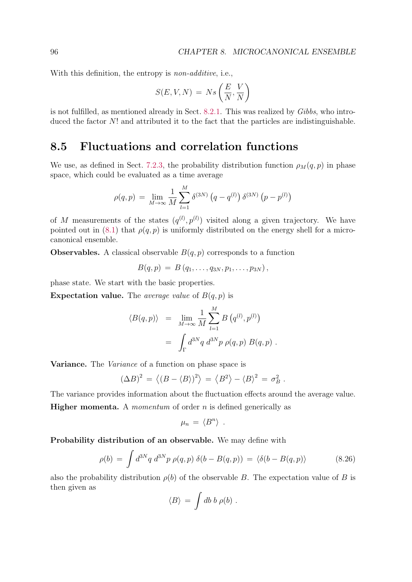With this definition, the entropy is *non-additive*, i.e.,

$$
S(E, V, N) \, = \, N s\left(\frac{E}{N}, \frac{V}{N}\right)
$$

is not fulfilled, as mentioned already in Sect. 8.2.1. This was realized by Gibbs, who introduced the factor N! and attributed it to the fact that the particles are indistinguishable.

### 8.5 Fluctuations and correlation functions

We use, as defined in Sect. 7.2.3, the probability distribution function  $\rho_M(q, p)$  in phase space, which could be evaluated as a time average

$$
\rho(q, p) = \lim_{M \to \infty} \frac{1}{M} \sum_{l=1}^{M} \delta^{(3N)} (q - q^{(l)}) \delta^{(3N)} (p - p^{(l)})
$$

of M measurements of the states  $(q^{(l)}, p^{(l)})$  visited along a given trajectory. We have pointed out in (8.1) that  $\rho(q, p)$  is uniformly distributed on the energy shell for a microcanonical ensemble.

**Observables.** A classical observable  $B(q, p)$  corresponds to a function

 $B(q, p) = B(q_1, \ldots, q_{3N}, p_1, \ldots, p_{3N}),$ 

phase state. We start with the basic properties.

**Expectation value.** The *average value* of  $B(q, p)$  is

$$
\langle B(q,p) \rangle = \lim_{M \to \infty} \frac{1}{M} \sum_{l=1}^{M} B(q^{(l)}, p^{(l)})
$$
  
= 
$$
\int_{\Gamma} d^{3N}q \ d^{3N}p \ \rho(q,p) \ B(q,p) .
$$

**Variance.** The *Variance* of a function on phase space is

$$
(\Delta B)^2 = \langle (B - \langle B \rangle)^2 \rangle = \langle B^2 \rangle - \langle B \rangle^2 = \sigma_B^2.
$$

The variance provides information about the fluctuation effects around the average value.

**Higher momenta.** A momentum of order n is defined generically as

$$
\mu_n = \langle B^n \rangle .
$$

Probability distribution of an observable. We may define with

$$
\rho(b) = \int d^{3N}q \ d^{3N}p \ \rho(q, p) \ \delta(b - B(q, p)) = \langle \delta(b - B(q, p)) \rangle \tag{8.26}
$$

also the probability distribution  $\rho(b)$  of the observable B. The expectation value of B is then given as

$$
\langle B \rangle = \int db \; b \; \rho(b) \; .
$$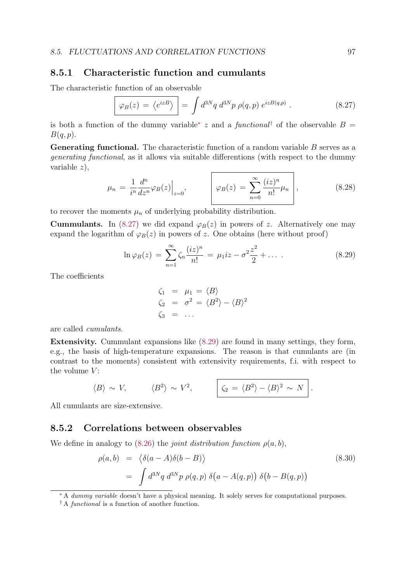#### 8.5.1 Characteristic function and cumulants

The characteristic function of an observable

$$
\boxed{\varphi_B(z) = \langle e^{izB} \rangle} = \int d^{3N}q \ d^{3N}p \ \rho(q, p) \ e^{izB(q,p)} . \tag{8.27}
$$

is both a function of the dummy variable<sup>∗</sup> z and a functional<sup>†</sup> of the observable  $B =$  $B(q, p).$ 

Generating functional. The characteristic function of a random variable B serves as a generating functional, as it allows via suitable differentions (with respect to the dummy variable z),

$$
\mu_n = \frac{1}{i^n} \frac{d^n}{dz^n} \varphi_B(z) \Big|_{z=0}, \qquad \qquad \varphi_B(z) = \sum_{n=0}^{\infty} \frac{(iz)^n}{n!} \mu_n \Bigg|, \tag{8.28}
$$

to recover the moments  $\mu_n$  of underlying probability distribution.

**Cummulants.** In (8.27) we did expand  $\varphi_B(z)$  in powers of z. Alternatively one may expand the logarithm of  $\varphi_B(z)$  in powers of z. One obtains (here without proof)

$$
\ln \varphi_B(z) = \sum_{n=1}^{\infty} \zeta_n \frac{(iz)^n}{n!} = \mu_1 iz - \sigma^2 \frac{z^2}{2} + \dots \tag{8.29}
$$

The coefficients

$$
\begin{array}{rcl}\n\zeta_1 & = & \mu_1 = \langle B \rangle \\
\zeta_2 & = & \sigma^2 = \langle B^2 \rangle - \langle B \rangle^2 \\
\zeta_3 & = & \dots\n\end{array}
$$

are called cumulants.

Extensivity. Cummulant expansions like (8.29) are found in many settings, they form, e.g., the basis of high-temperature expansions. The reason is that cumulants are (in contrast to the moments) consistent with extensivity requirements, f.i. with respect to the volume  $V$ :

$$
\langle B \rangle \sim V, \qquad \langle B^2 \rangle \sim V^2, \qquad \boxed{\zeta_2 = \langle B^2 \rangle - \langle B \rangle^2 \sim N}.
$$

All cumulants are size-extensive.

#### 8.5.2 Correlations between observables

We define in analogy to (8.26) the *joint distribution function*  $\rho(a, b)$ ,

$$
\rho(a,b) = \langle \delta(a-A)\delta(b-B) \rangle
$$
\n
$$
= \int d^{3N}q \, d^{3N}p \, \rho(q,p) \, \delta(a-A(q,p)) \, \delta(b-B(q,p))
$$
\n(8.30)

<sup>∗</sup> A dummy variable doesn't have a physical meaning. It solely serves for computational purposes.

<sup>&</sup>lt;sup> $\dagger$ </sup> A *functional* is a function of another function.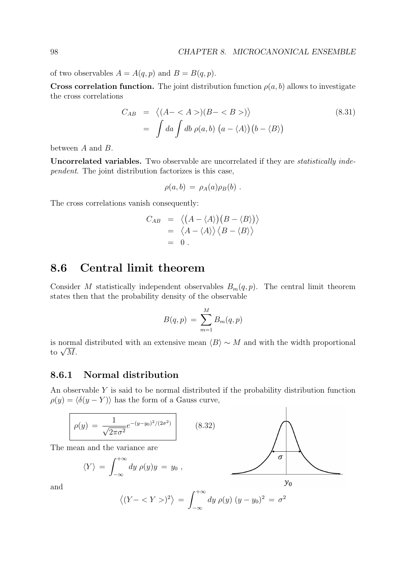of two observables  $A = A(q, p)$  and  $B = B(q, p)$ .

**Cross correlation function.** The joint distribution function  $\rho(a, b)$  allows to investigate the cross correlations

$$
C_{AB} = \langle (A - \langle A \rangle)(B - \langle B \rangle) \rangle
$$
  
= 
$$
\int da \int db \rho(a, b) (a - \langle A \rangle)(b - \langle B \rangle)
$$
 (8.31)

between A and B.

Uncorrelated variables. Two observable are uncorrelated if they are *statistically inde*pendent. The joint distribution factorizes is this case,

$$
\rho(a,b) = \rho_A(a)\rho_B(b) .
$$

The cross correlations vanish consequently:

$$
C_{AB} = \langle (A - \langle A \rangle)(B - \langle B \rangle) \rangle
$$
  
=  $\langle A - \langle A \rangle \rangle \langle B - \langle B \rangle \rangle$   
= 0.

## 8.6 Central limit theorem

Consider M statistically independent observables  $B_m(q, p)$ . The central limit theorem states then that the probability density of the observable

$$
B(q,p) = \sum_{m=1}^{M} B_m(q,p)
$$

is normal distributed with an extensive mean  $\langle B \rangle \sim M$  and with the width proportional to  $\sqrt{M}$ .

#### 8.6.1 Normal distribution

An observable Y is said to be normal distributed if the probability distribution function  $\rho(y) = \langle \delta(y - Y) \rangle$  has the form of a Gauss curve,

$$
\rho(y) = \frac{1}{\sqrt{2\pi\sigma^2}} e^{-(y-y_0)^2/(2\sigma^2)} \qquad (8.32)
$$

The mean and the variance are

$$
\langle Y \rangle = \int_{-\infty}^{+\infty} dy \, \rho(y) y = y_0 \; ,
$$



and

$$
\langle (Y - \langle Y \rangle)^2 \rangle = \int_{-\infty}^{+\infty} dy \, \rho(y) \, (y - y_0)^2 = \sigma
$$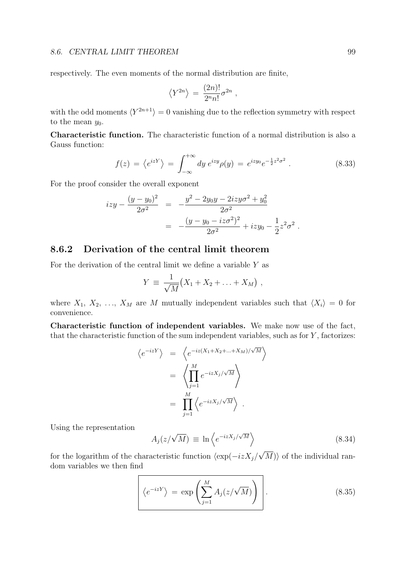respectively. The even moments of the normal distribution are finite,

$$
\langle Y^{2n} \rangle = \frac{(2n)!}{2^n n!} \sigma^{2n} ,
$$

with the odd moments  $\langle Y^{2n+1} \rangle = 0$  vanishing due to the reflection symmetry with respect to the mean  $y_0$ .

Characteristic function. The characteristic function of a normal distribution is also a Gauss function:

$$
f(z) = \langle e^{izY} \rangle = \int_{-\infty}^{+\infty} dy \, e^{izy} \rho(y) = e^{izy_0} e^{-\frac{1}{2}z^2 \sigma^2} \,. \tag{8.33}
$$

For the proof consider the overall exponent

$$
izy - \frac{(y - y_0)^2}{2\sigma^2} = -\frac{y^2 - 2y_0y - 2izy\sigma^2 + y_0^2}{2\sigma^2}
$$
  
= 
$$
-\frac{(y - y_0 - iz\sigma^2)^2}{2\sigma^2} + izy_0 - \frac{1}{2}z^2\sigma^2.
$$

#### 8.6.2 Derivation of the central limit theorem

For the derivation of the central limit we define a variable  $Y$  as

$$
Y = \frac{1}{\sqrt{M}}(X_1 + X_2 + \ldots + X_M),
$$

where  $X_1, X_2, \ldots, X_M$  are M mutually independent variables such that  $\langle X_i \rangle = 0$  for convenience.

Characteristic function of independent variables. We make now use of the fact, that the characteristic function of the sum independent variables, such as for  $Y$ , factorizes:

$$
\langle e^{-izY} \rangle = \langle e^{-iz(X_1 + X_2 + \dots + X_M)/\sqrt{M}} \rangle
$$
  
= 
$$
\langle \prod_{j=1}^M e^{-izX_j/\sqrt{M}} \rangle
$$
  
= 
$$
\prod_{j=1}^M \langle e^{-izX_j/\sqrt{M}} \rangle.
$$

Using the representation

$$
A_j(z/\sqrt{M}) \equiv \ln \left\langle e^{-izX_j/\sqrt{M}} \right\rangle \tag{8.34}
$$

for the logarithm of the characteristic function  $\langle \exp(-izX_j/\sqrt{M})\rangle$  of the individual random variables we then find

$$
\left| \langle e^{-izY} \rangle = \exp \left( \sum_{j=1}^{M} A_j (z/\sqrt{M}) \right) \right|.
$$
 (8.35)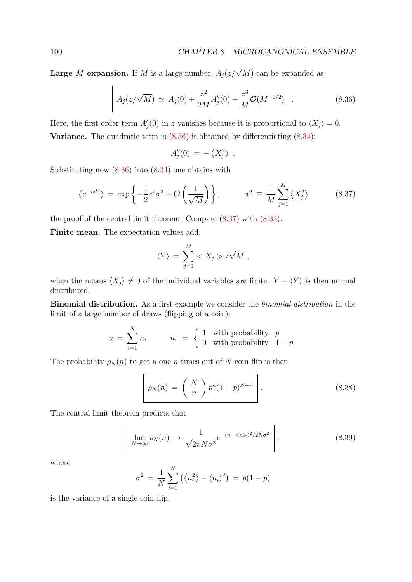**Large** M expansion. If M is a large number,  $A_j(z/\sqrt{M})$  can be expanded as

$$
A_j(z/\sqrt{M}) \simeq A_j(0) + \frac{z^2}{2M} A''_j(0) + \frac{z^3}{M} \mathcal{O}(M^{-1/2}) \qquad (8.36)
$$

Here, the first-order term  $A_j'(0)$  in z vanishes because it is proportional to  $\langle X_j \rangle = 0$ . **Variance.** The quadratic term is  $(8.36)$  is obtained by differentiating  $(8.34)$ :

$$
A''_j(0) = -\left\langle X_j^2 \right\rangle .
$$

Substituting now (8.36) into (8.34) one obtains with

$$
\langle e^{-izY} \rangle = \exp\left\{-\frac{1}{2}z^2\sigma^2 + \mathcal{O}\left(\frac{1}{\sqrt{M}}\right)\right\}, \qquad \sigma^2 \equiv \frac{1}{M} \sum_{j=1}^M \langle X_j^2 \rangle \tag{8.37}
$$

the proof of the central limit theorem. Compare (8.37) with (8.33).

Finite mean. The expectation values add,

$$
\langle Y \rangle = \sum_{j=1}^{M} \langle X_j \rangle / \sqrt{M} ,
$$

when the means  $\langle X_j \rangle \neq 0$  of the individual variables are finite.  $Y - \langle Y \rangle$  is then normal distributed.

Binomial distribution. As a first example we consider the binomial distribution in the limit of a large number of draws (flipping of a coin):

$$
n = \sum_{i=1}^{N} n_i
$$
 
$$
n_i = \begin{cases} 1 & \text{with probability} \quad p \\ 0 & \text{with probability} \quad 1-p \end{cases}
$$

The probability  $\rho_N(n)$  to get a one n times out of N coin flip is then

$$
\rho_N(n) = \binom{N}{n} p^n (1-p)^{N-n} \qquad (8.38)
$$

The central limit theorem predicts that

$$
\lim_{N \to \infty} \rho_N(n) \to \frac{1}{\sqrt{2\pi N\sigma^2}} e^{-(n - \langle n \rangle)^2 / 2N\sigma^2}, \qquad (8.39)
$$

where

$$
\sigma^2 = \frac{1}{N} \sum_{i=1}^{N} \left( \langle n_i^2 \rangle - \langle n_i \rangle^2 \right) = p(1-p)
$$

is the variance of a single coin flip.